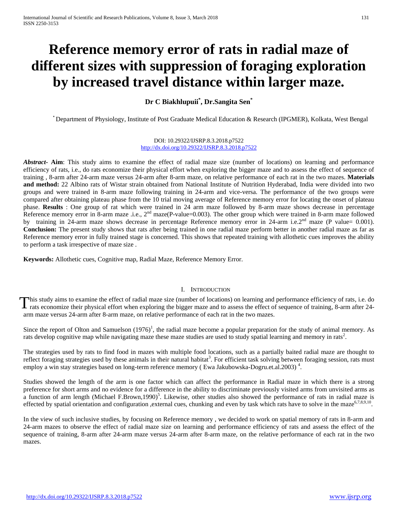# **Reference memory error of rats in radial maze of different sizes with suppression of foraging exploration by increased travel distance within larger maze.**

**Dr C Biakhlupuii\* , Dr.Sangita Sen\***

\* Department of Physiology, Institute of Post Graduate Medical Education & Research (IPGMER), Kolkata, West Bengal

DOI: 10.29322/IJSRP.8.3.2018.p7522 <http://dx.doi.org/10.29322/IJSRP.8.3.2018.p7522>

*Abstract***- Aim**: This study aims to examine the effect of radial maze size (number of locations) on learning and performance efficiency of rats, i.e., do rats economize their physical effort when exploring the bigger maze and to assess the effect of sequence of training , 8-arm after 24-arm maze versus 24-arm after 8-arm maze, on relative performance of each rat in the two mazes. **Materials and method:** 22 Albino rats of Wistar strain obtained from National Institute of Nutrition Hyderabad, India were divided into two groups and were trained in 8-arm maze following training in 24-arm and vice-versa. The performance of the two groups were compared after obtaining plateau phase from the 10 trial moving average of Reference memory error for locating the onset of plateau phase. **Results** : One group of rat which were trained in 24 arm maze followed by 8-arm maze shows decrease in percentage Reference memory error in 8-arm maze .i.e., 2<sup>nd</sup> maze(P-value=0.003). The other group which were trained in 8-arm maze followed by training in 24-arm maze shows decrease in percentage Reference memory error in 24-arm i.e.2<sup>nd</sup> maze (P value= 0.001). **Conclusion:** The present study shows that rats after being trained in one radial maze perform better in another radial maze as far as Reference memory error in fully trained stage is concerned. This shows that repeated training with allothetic cues improves the ability to perform a task irrespective of maze size .

**Keywords:** Allothetic cues, Cognitive map, Radial Maze, Reference Memory Error.

# I. INTRODUCTION

his study aims to examine the effect of radial maze size (number of locations) on learning and performance efficiency of rats, i.e. do This study aims to examine the effect of radial maze size (number of locations) on learning and performance efficiency of rats, i.e. do rats economize their physical effort when exploring the bigger maze and to assess the arm maze versus 24-arm after 8-arm maze, on relative performance of each rat in the two mazes.

Since the report of Olton and Samuelson  $(1976)^1$ , the radial maze become a popular preparation for the study of animal memory. As rats develop cognitive map while navigating maze these maze studies are used to study spatial learning and memory in rats<sup>2</sup>.

The strategies used by rats to find food in mazes with multiple food locations, such as a partially baited radial maze are thought to reflect foraging strategies used by these animals in their natural habitat<sup>3</sup>. For efficient task solving between foraging session, rats must employ a win stay strategies based on long-term reference memory (Ewa Jakubowska-Dogru.et.al.2003)<sup>4</sup>.

Studies showed the length of the arm is one factor which can affect the performance in Radial maze in which there is a strong preference for short arms and no evidence for a difference in the ability to discriminate previously visited arms from unvisited arms as a function of arm length (Michael F.Brown,1990)<sup>5</sup>. Likewise, other studies also showed the performance of rats in radial maze is effected by spatial orientation and configuration ,external cues, chunking and even by task which rats have to solve in the maze<sup>6,7,8,9,10</sup>.

In the view of such inclusive studies, by focusing on Reference memory , we decided to work on spatial memory of rats in 8-arm and 24-arm mazes to observe the effect of radial maze size on learning and performance efficiency of rats and assess the effect of the sequence of training, 8-arm after 24-arm maze versus 24-arm after 8-arm maze, on the relative performance of each rat in the two mazes.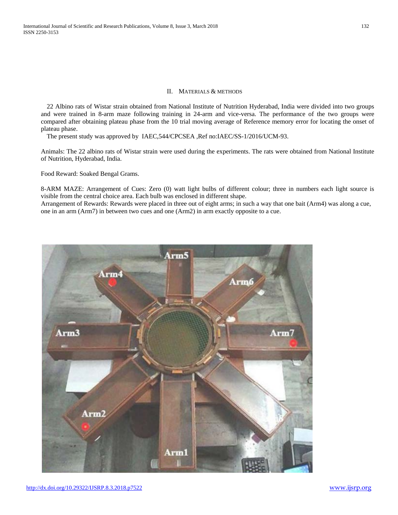## II. MATERIALS & METHODS

22 Albino rats of Wistar strain obtained from National Institute of Nutrition Hyderabad, India were divided into two groups and were trained in 8-arm maze following training in 24-arm and vice-versa. The performance of the two groups were compared after obtaining plateau phase from the 10 trial moving average of Reference memory error for locating the onset of plateau phase.

The present study was approved by IAEC,544/CPCSEA ,Ref no:IAEC/SS-1/2016/UCM-93.

Animals: The 22 albino rats of Wistar strain were used during the experiments. The rats were obtained from National Institute of Nutrition, Hyderabad, India.

Food Reward: Soaked Bengal Grams.

8-ARM MAZE: Arrangement of Cues: Zero (0) watt light bulbs of different colour; three in numbers each light source is visible from the central choice area. Each bulb was enclosed in different shape.

Arrangement of Rewards: Rewards were placed in three out of eight arms; in such a way that one bait (Arm4) was along a cue, one in an arm (Arm7) in between two cues and one (Arm2) in arm exactly opposite to a cue.

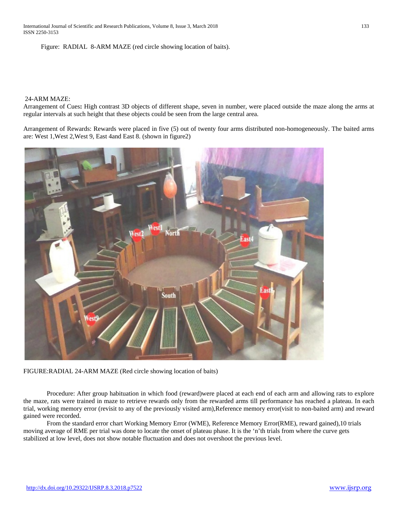International Journal of Scientific and Research Publications, Volume 8, Issue 3, March 2018 133 ISSN 2250-3153

Figure: RADIAL 8-ARM MAZE (red circle showing location of baits).

### 24-ARM MAZE:

Arrangement of Cues**:** High contrast 3D objects of different shape, seven in number, were placed outside the maze along the arms at regular intervals at such height that these objects could be seen from the large central area.

Arrangement of Rewards: Rewards were placed in five (5) out of twenty four arms distributed non-homogeneously. The baited arms are: West 1,West 2,West 9, East 4and East 8. (shown in figure2)



FIGURE:RADIAL 24-ARM MAZE (Red circle showing location of baits)

Procedure: After group habituation in which food (reward)were placed at each end of each arm and allowing rats to explore the maze, rats were trained in maze to retrieve rewards only from the rewarded arms till performance has reached a plateau. In each trial, working memory error (revisit to any of the previously visited arm),Reference memory error(visit to non-baited arm) and reward gained were recorded.

From the standard error chart Working Memory Error (WME), Reference Memory Error(RME), reward gained),10 trials moving average of RME per trial was done to locate the onset of plateau phase. It is the 'n'th trials from where the curve gets stabilized at low level, does not show notable fluctuation and does not overshoot the previous level.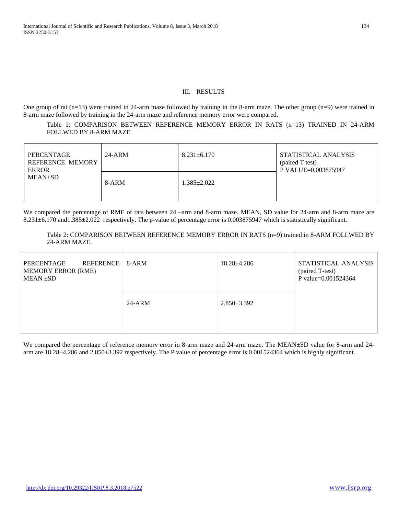# III. RESULTS

One group of rat (n=13) were trained in 24-arm maze followed by training in the 8-arm maze. The other group (n=9) were trained in 8-arm maze followed by training in the 24-arm maze and reference memory error were compared.

Table 1: COMPARISON BETWEEN REFERENCE MEMORY ERROR IN RATS (n=13) TRAINED IN 24-ARM FOLLWED BY 8-ARM MAZE.

| PERCENTAGE<br><b>REFERENCE MEMORY</b><br><b>ERROR</b><br>$MEAN\pm SD$ | $24-ARNM$ | $8.231 \pm 6.170$ | STATISTICAL ANALYSIS<br>(paired T test)<br>P VALUE=0.003875947 |
|-----------------------------------------------------------------------|-----------|-------------------|----------------------------------------------------------------|
|                                                                       | 8-ARM     | $1.385 \pm 2.022$ |                                                                |

We compared the percentage of RME of rats between 24 –arm and 8-arm maze. MEAN, SD value for 24-arm and 8-arm maze are 8.231±6.170 and1.385±2.022 respectively. The p-value of percentage error is 0.003875947 which is statistically significant.

Table 2: COMPARISON BETWEEN REFERENCE MEMORY ERROR IN RATS (n=9) trained in 8-ARM FOLLWED BY 24-ARM MAZE.

| REFERENCE   8-ARM<br>PERCENTAGE<br><b>MEMORY ERROR (RME)</b><br>$MEAN \pm SD$ |          | $18.28 \pm 4.286$ | STATISTICAL ANALYSIS<br>(paired T-test)<br>P value=0.001524364 |
|-------------------------------------------------------------------------------|----------|-------------------|----------------------------------------------------------------|
|                                                                               | $24-ARM$ | $2.850 \pm 3.392$ |                                                                |

We compared the percentage of reference memory error in 8-arm maze and 24-arm maze. The MEAN±SD value for 8-arm and 24arm are 18.28±4.286 and 2.850±3.392 respectively. The P value of percentage error is 0.001524364 which is highly significant.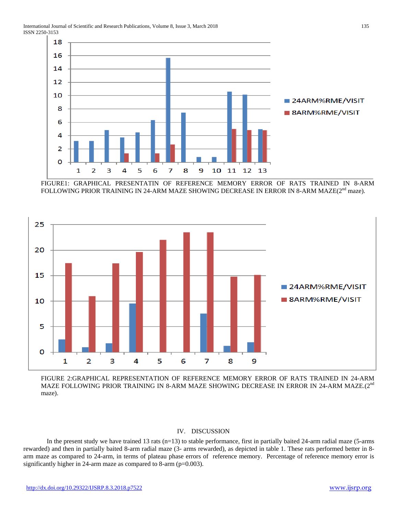International Journal of Scientific and Research Publications, Volume 8, Issue 3, March 2018 135 ISSN 2250-3153



FIGURE1: GRAPHICAL PRESENTATIN OF REFERENCE MEMORY ERROR OF RATS TRAINED IN 8-ARM FOLLOWING PRIOR TRAINING IN 24-ARM MAZE SHOWING DECREASE IN ERROR IN 8-ARM MAZE(2<sup>nd</sup> maze).



FIGURE 2:GRAPHICAL REPRESENTATION OF REFERENCE MEMORY ERROR OF RATS TRAINED IN 24-ARM MAZE FOLLOWING PRIOR TRAINING IN 8-ARM MAZE SHOWING DECREASE IN ERROR IN 24-ARM MAZE.(2<sup>nd</sup> maze).

# IV. DISCUSSION

In the present study we have trained 13 rats (n=13) to stable performance, first in partially baited 24-arm radial maze (5-arms rewarded) and then in partially baited 8-arm radial maze (3- arms rewarded), as depicted in table 1. These rats performed better in 8 arm maze as compared to 24-arm, in terms of plateau phase errors of reference memory. Percentage of reference memory error is significantly higher in 24-arm maze as compared to 8-arm (p=0.003).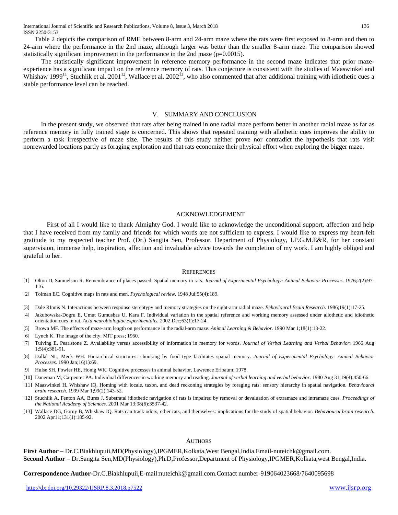Table 2 depicts the comparison of RME between 8-arm and 24-arm maze where the rats were first exposed to 8-arm and then to 24-arm where the performance in the 2nd maze, although larger was better than the smaller 8-arm maze. The comparison showed statistically significant improvement in the performance in the 2nd maze (p=0.0015).

 The statistically significant improvement in reference memory performance in the second maze indicates that prior mazeexperience has a significant impact on the reference memory of rats. This conjecture is consistent with the studies of Maaswinkel and Whishaw 1999<sup>11</sup>, Stuchlik et al. 2001<sup>12</sup>, Wallace et al. 2002<sup>13</sup>, who also commented that after additional training with idiothetic cues a stable performance level can be reached.

## V. SUMMARY AND CONCLUSION

In the present study, we observed that rats after being trained in one radial maze perform better in another radial maze as far as reference memory in fully trained stage is concerned. This shows that repeated training with allothetic cues improves the ability to perform a task irrespective of maze size. The results of this study neither prove nor contradict the hypothesis that rats visit nonrewarded locations partly as foraging exploration and that rats economize their physical effort when exploring the bigger maze.

# ACKNOWLEDGEMENT

First of all I would like to thank Almighty God. I would like to acknowledge the unconditional support, affection and help that I have received from my family and friends for which words are not sufficient to express. I would like to express my heart-felt gratitude to my respected teacher Prof. (Dr.) Sangita Sen, Professor, Department of Physiology, I.P.G.M.E&R, for her constant supervision, immense help, inspiration, affection and invaluable advice towards the completion of my work. I am highly obliged and grateful to her.

#### **REFERENCES**

- [1] Olton D, Samuelson R. Remembrance of places passed: Spatial memory in rats. *Journal of Experimental Psychology: Animal Behavior Processes*. 1976;2(2):97- 116.
- [2] Tolman EC. Cognitive maps in rats and men. *Psychological review*. 1948 Jul;55(4):189.
- [3] Dale RInnis N. Interactions between response stereotypy and memory strategies on the eight-arm radial maze. *Behavioural Brain Research*. 1986;19(1):17-25.
- [4] Jakubowska-Dogru E, Umut Gumusbas U, Kara F. Individual variation in the spatial reference and working memory assessed under allothetic and idiothetic orientation cues in rat*. Acta neurobiologiae experimentalis.* 2002 Dec;63(1):17-24.
- [5] Brown MF. The effects of maze-arm length on performance in the radial-arm maze. *Animal Learning & Behavior.* 1990 Mar 1;18(1):13-22.
- [6] Lynch K. The image of the city. MIT press; 1960.
- [7] Tulving E, Pearlstone Z. Availability versus accessibility of information in memory for words. *Journal of Verbal Learning and Verbal Behavior*. 1966 Aug 1;5(4):381-91.
- [8] Dallal NL, Meck WH. Hierarchical structures: chunking by food type facilitates spatial memory. *Journal of Experimental Psychology: Animal Behavior Processes.* 1990 Jan;16(1):69.
- [9] Hulse SH, Fowler HE, Honig WK. Cognitive processes in animal behavior. Lawrence Erlbaum; 1978.
- [10] Daneman M, Carpenter PA. Individual differences in working memory and reading. *Journal of verbal learning and verbal behavior.* 1980 Aug 31;19(4):450-66.
- [11] Maaswinkel H, Whishaw IQ. Homing with locale, taxon, and dead reckoning strategies by foraging rats: sensory hierarchy in spatial navigation*. Behavioural brain research*. 1999 Mar 1;99(2):143-52.
- [12] Stuchlik A, Fenton AA, Bures J. Substratal idiothetic navigation of rats is impaired by removal or devaluation of extramaze and intramaze cues*. Proceedings of the National Academy of Sciences*. 2001 Mar 13;98(6):3537-42.
- [13] Wallace DG, Gorny B, Whishaw IQ. Rats can track odors, other rats, and themselves: implications for the study of spatial behavior. *Behavioural brain research.*  2002 Apr11;131(1):185-92.

#### **AUTHORS**

**First Author** – Dr.C.Biakhlupuii,MD(Physiology),IPGMER,Kolkata,West Bengal,India.Email-nuteichk@gmail.com. **Second Author** – Dr.Sangita Sen,MD(Physiology),Ph.D,Professor,Department of Physiology,IPGMER,Kolkata,west Bengal,India.

**Correspondence Author-**Dr.C.Biakhlupuii,E-mail:nuteichk@gmail.com.Contact number-919064023668/7640095698